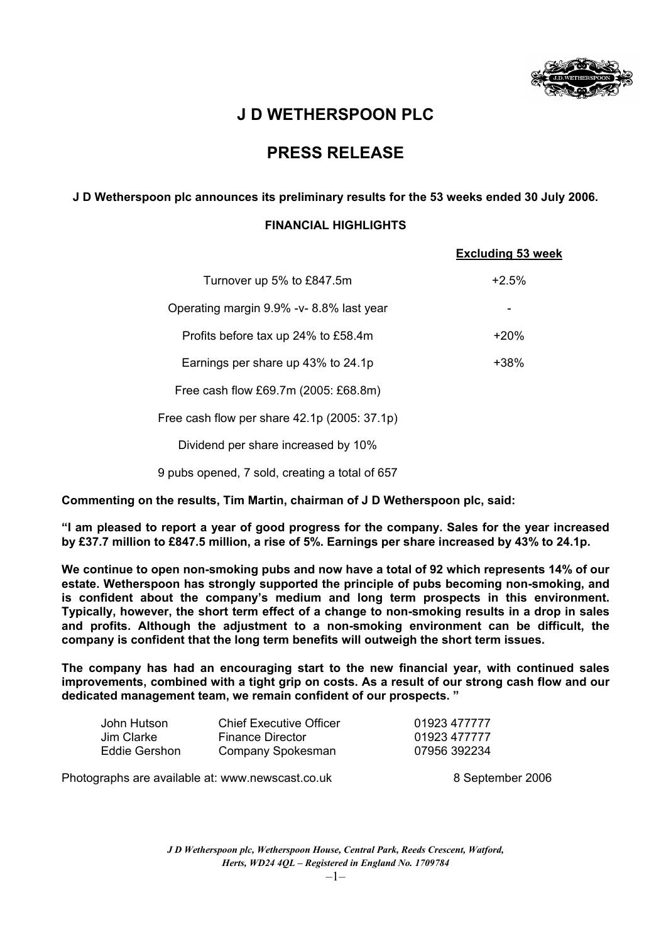

# **J D WETHERSPOON PLC**

## **PRESS RELEASE**

### **J D Wetherspoon plc announces its preliminary results for the 53 weeks ended 30 July 2006.**

### **FINANCIAL HIGHLIGHTS**

|                                                | <b>Excluding 53 week</b> |
|------------------------------------------------|--------------------------|
| Turnover up 5% to £847.5m                      | $+2.5%$                  |
| Operating margin 9.9% - v-8.8% last year       |                          |
| Profits before tax up 24% to £58.4m            | $+20%$                   |
| Earnings per share up 43% to 24.1p             | +38%                     |
| Free cash flow £69.7m (2005: £68.8m)           |                          |
| Free cash flow per share 42.1p (2005: 37.1p)   |                          |
| Dividend per share increased by 10%            |                          |
| 9 pubs opened, 7 sold, creating a total of 657 |                          |

**Commenting on the results, Tim Martin, chairman of J D Wetherspoon plc, said:** 

**"I am pleased to report a year of good progress for the company. Sales for the year increased by £37.7 million to £847.5 million, a rise of 5%. Earnings per share increased by 43% to 24.1p.** 

**We continue to open non-smoking pubs and now have a total of 92 which represents 14% of our estate. Wetherspoon has strongly supported the principle of pubs becoming non-smoking, and is confident about the company's medium and long term prospects in this environment. Typically, however, the short term effect of a change to non-smoking results in a drop in sales and profits. Although the adjustment to a non-smoking environment can be difficult, the company is confident that the long term benefits will outweigh the short term issues.** 

**The company has had an encouraging start to the new financial year, with continued sales improvements, combined with a tight grip on costs. As a result of our strong cash flow and our dedicated management team, we remain confident of our prospects. "** 

| John Hutson   | Chief Executive Officer | 01923 477777 |
|---------------|-------------------------|--------------|
| Jim Clarke    | <b>Finance Director</b> | 01923 477777 |
| Eddie Gershon | Company Spokesman       | 07956 392234 |

Photographs are available at: www.newscast.co.uk 8 September 2006

*J D Wetherspoon plc, Wetherspoon House, Central Park, Reeds Crescent, Watford, Herts, WD24 4QL – Registered in England No. 1709784*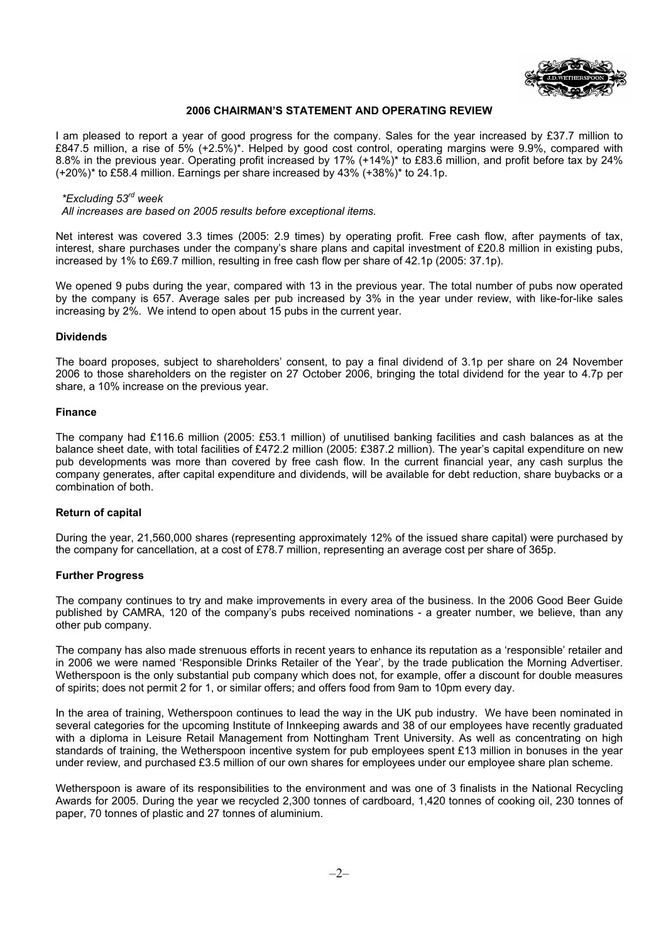

### **2006 CHAIRMAN'S STATEMENT AND OPERATING REVIEW**

I am pleased to report a year of good progress for the company. Sales for the year increased by £37.7 million to £847.5 million, a rise of 5% (+2.5%)\*. Helped by good cost control, operating margins were 9.9%, compared with 8.8% in the previous year. Operating profit increased by 17% (+14%)\* to £83.6 million, and profit before tax by 24% (+20%)\* to £58.4 million. Earnings per share increased by 43% (+38%)\* to 24.1p.

#### *\*Excluding 53rd week*

 *All increases are based on 2005 results before exceptional items.* 

Net interest was covered 3.3 times (2005: 2.9 times) by operating profit. Free cash flow, after payments of tax, interest, share purchases under the company's share plans and capital investment of £20.8 million in existing pubs, increased by 1% to £69.7 million, resulting in free cash flow per share of 42.1p (2005: 37.1p).

We opened 9 pubs during the year, compared with 13 in the previous year. The total number of pubs now operated by the company is 657. Average sales per pub increased by 3% in the year under review, with like-for-like sales increasing by 2%. We intend to open about 15 pubs in the current year.

### **Dividends**

The board proposes, subject to shareholders' consent, to pay a final dividend of 3.1p per share on 24 November 2006 to those shareholders on the register on 27 October 2006, bringing the total dividend for the year to 4.7p per share, a 10% increase on the previous year.

#### **Finance**

The company had £116.6 million (2005: £53.1 million) of unutilised banking facilities and cash balances as at the balance sheet date, with total facilities of £472.2 million (2005: £387.2 million). The year's capital expenditure on new pub developments was more than covered by free cash flow. In the current financial year, any cash surplus the company generates, after capital expenditure and dividends, will be available for debt reduction, share buybacks or a combination of both.

### **Return of capital**

During the year, 21,560,000 shares (representing approximately 12% of the issued share capital) were purchased by the company for cancellation, at a cost of £78.7 million, representing an average cost per share of 365p.

### **Further Progress**

The company continues to try and make improvements in every area of the business. In the 2006 Good Beer Guide published by CAMRA, 120 of the company's pubs received nominations - a greater number, we believe, than any other pub company.

The company has also made strenuous efforts in recent years to enhance its reputation as a 'responsible' retailer and in 2006 we were named 'Responsible Drinks Retailer of the Year', by the trade publication the Morning Advertiser. Wetherspoon is the only substantial pub company which does not, for example, offer a discount for double measures of spirits; does not permit 2 for 1, or similar offers; and offers food from 9am to 10pm every day.

In the area of training, Wetherspoon continues to lead the way in the UK pub industry. We have been nominated in several categories for the upcoming Institute of Innkeeping awards and 38 of our employees have recently graduated with a diploma in Leisure Retail Management from Nottingham Trent University. As well as concentrating on high standards of training, the Wetherspoon incentive system for pub employees spent £13 million in bonuses in the year under review, and purchased £3.5 million of our own shares for employees under our employee share plan scheme.

Wetherspoon is aware of its responsibilities to the environment and was one of 3 finalists in the National Recycling Awards for 2005. During the year we recycled 2,300 tonnes of cardboard, 1,420 tonnes of cooking oil, 230 tonnes of paper, 70 tonnes of plastic and 27 tonnes of aluminium.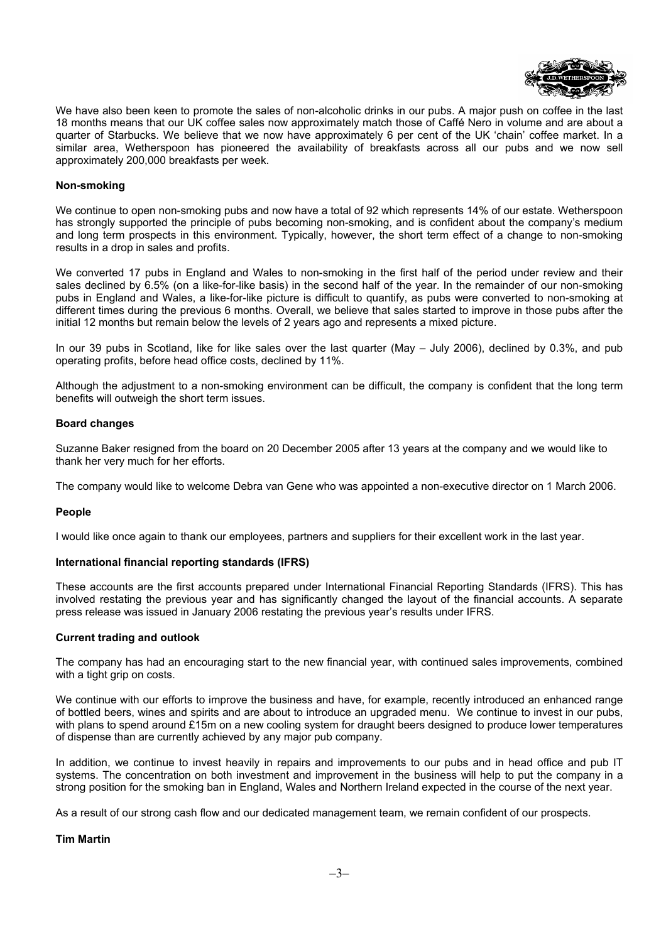

We have also been keen to promote the sales of non-alcoholic drinks in our pubs. A major push on coffee in the last 18 months means that our UK coffee sales now approximately match those of Caffé Nero in volume and are about a quarter of Starbucks. We believe that we now have approximately 6 per cent of the UK 'chain' coffee market. In a similar area, Wetherspoon has pioneered the availability of breakfasts across all our pubs and we now sell approximately 200,000 breakfasts per week.

### **Non-smoking**

We continue to open non-smoking pubs and now have a total of 92 which represents 14% of our estate. Wetherspoon has strongly supported the principle of pubs becoming non-smoking, and is confident about the company's medium and long term prospects in this environment. Typically, however, the short term effect of a change to non-smoking results in a drop in sales and profits.

We converted 17 pubs in England and Wales to non-smoking in the first half of the period under review and their sales declined by 6.5% (on a like-for-like basis) in the second half of the year. In the remainder of our non-smoking pubs in England and Wales, a like-for-like picture is difficult to quantify, as pubs were converted to non-smoking at different times during the previous 6 months. Overall, we believe that sales started to improve in those pubs after the initial 12 months but remain below the levels of 2 years ago and represents a mixed picture.

In our 39 pubs in Scotland, like for like sales over the last quarter (May – July 2006), declined by 0.3%, and pub operating profits, before head office costs, declined by 11%.

Although the adjustment to a non-smoking environment can be difficult, the company is confident that the long term benefits will outweigh the short term issues.

### **Board changes**

Suzanne Baker resigned from the board on 20 December 2005 after 13 years at the company and we would like to thank her very much for her efforts.

The company would like to welcome Debra van Gene who was appointed a non-executive director on 1 March 2006.

### **People**

I would like once again to thank our employees, partners and suppliers for their excellent work in the last year.

### **International financial reporting standards (IFRS)**

These accounts are the first accounts prepared under International Financial Reporting Standards (IFRS). This has involved restating the previous year and has significantly changed the layout of the financial accounts. A separate press release was issued in January 2006 restating the previous year's results under IFRS.

#### **Current trading and outlook**

The company has had an encouraging start to the new financial year, with continued sales improvements, combined with a tight grip on costs.

We continue with our efforts to improve the business and have, for example, recently introduced an enhanced range of bottled beers, wines and spirits and are about to introduce an upgraded menu. We continue to invest in our pubs, with plans to spend around  $£15m$  on a new cooling system for draught beers designed to produce lower temperatures of dispense than are currently achieved by any major pub company.

In addition, we continue to invest heavily in repairs and improvements to our pubs and in head office and pub IT systems. The concentration on both investment and improvement in the business will help to put the company in a strong position for the smoking ban in England, Wales and Northern Ireland expected in the course of the next year.

As a result of our strong cash flow and our dedicated management team, we remain confident of our prospects.

### **Tim Martin**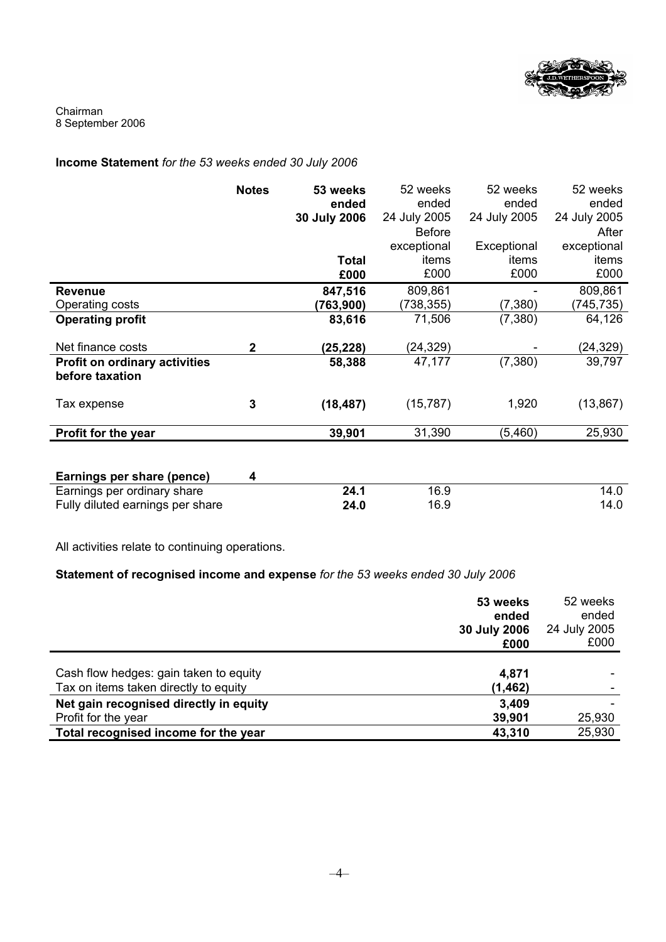

Chairman 8 September 2006

### **Income Statement** *for the 53 weeks ended 30 July 2006*

|                                                         | <b>Notes</b> | 53 weeks<br>ended<br>30 July 2006 | 52 weeks<br>ended<br>24 July 2005 | 52 weeks<br>ended<br>24 July 2005 | 52 weeks<br>ended<br>24 July 2005 |
|---------------------------------------------------------|--------------|-----------------------------------|-----------------------------------|-----------------------------------|-----------------------------------|
|                                                         |              |                                   | <b>Before</b>                     |                                   | After                             |
|                                                         |              |                                   | exceptional                       | Exceptional                       | exceptional                       |
|                                                         |              | Total                             | items                             | items                             | items                             |
|                                                         |              | £000                              | £000                              | £000                              | £000                              |
| <b>Revenue</b>                                          |              | 847,516                           | 809,861                           |                                   | 809,861                           |
| Operating costs                                         |              | (763,900)                         | (738,355)                         | (7, 380)                          | (745, 735)                        |
| <b>Operating profit</b>                                 |              | 83,616                            | 71,506                            | (7,380)                           | 64,126                            |
| Net finance costs                                       | $\mathbf{2}$ | (25,228)                          | (24, 329)                         |                                   | (24, 329)                         |
| <b>Profit on ordinary activities</b><br>before taxation |              | 58,388                            | 47,177                            | (7, 380)                          | 39,797                            |
| Tax expense                                             | 3            | (18, 487)                         | (15, 787)                         | 1,920                             | (13, 867)                         |
| Profit for the year                                     |              | 39,901                            | 31,390                            | (5,460)                           | 25,930                            |
|                                                         |              |                                   |                                   |                                   |                                   |

| Earnings per share (pence)       |      |      |      |
|----------------------------------|------|------|------|
| Earnings per ordinary share      | 24.1 | 16.9 | 14.0 |
| Fully diluted earnings per share | 24.0 | 16.9 | 14.0 |

All activities relate to continuing operations.

### **Statement of recognised income and expense** *for the 53 weeks ended 30 July 2006*

|                                                                                 | 53 weeks<br>ended<br>30 July 2006<br>£000 | 52 weeks<br>ended<br>24 July 2005<br>£000 |
|---------------------------------------------------------------------------------|-------------------------------------------|-------------------------------------------|
| Cash flow hedges: gain taken to equity<br>Tax on items taken directly to equity | 4,871<br>(1, 462)                         |                                           |
| Net gain recognised directly in equity<br>Profit for the year                   | 3,409<br>39,901                           | 25,930                                    |
| Total recognised income for the year                                            | 43,310                                    | 25,930                                    |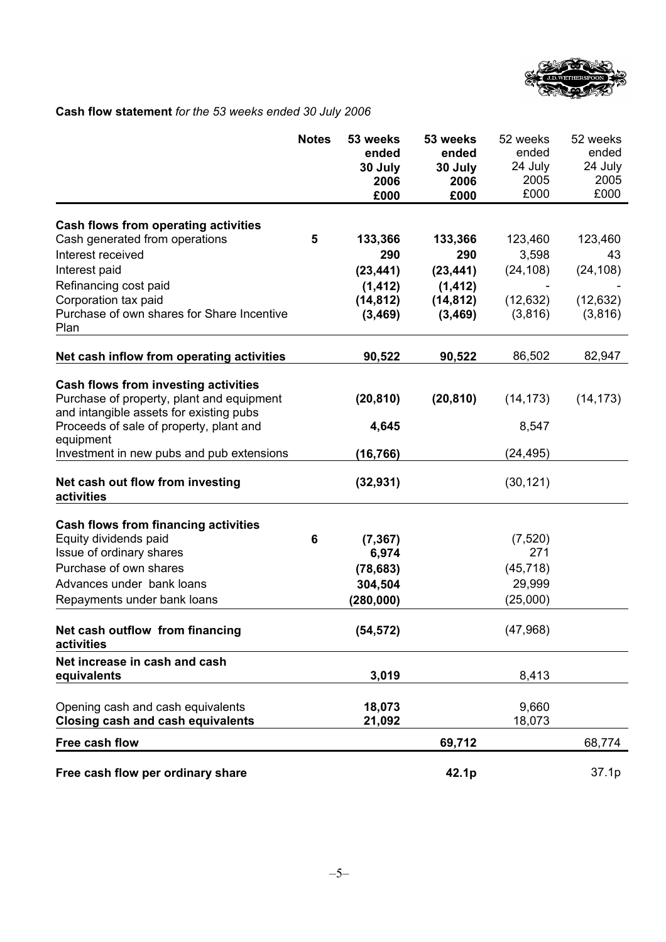

### **Cash flow statement** *for the 53 weeks ended 30 July 2006*

|                                                                                                                                     | <b>Notes</b> | 53 weeks<br>ended<br>30 July<br>2006<br>£000 | 53 weeks<br>ended<br>30 July<br>2006<br>£000 | 52 weeks<br>ended<br>24 July<br>2005<br>£000 | 52 weeks<br>ended<br>24 July<br>2005<br>£000 |
|-------------------------------------------------------------------------------------------------------------------------------------|--------------|----------------------------------------------|----------------------------------------------|----------------------------------------------|----------------------------------------------|
| Cash flows from operating activities                                                                                                |              |                                              |                                              |                                              |                                              |
| Cash generated from operations                                                                                                      | 5            | 133,366                                      | 133,366                                      | 123,460                                      | 123,460                                      |
| Interest received                                                                                                                   |              | 290                                          | 290                                          | 3,598                                        | 43                                           |
| Interest paid                                                                                                                       |              | (23, 441)                                    | (23, 441)                                    | (24, 108)                                    | (24, 108)                                    |
| Refinancing cost paid                                                                                                               |              | (1, 412)                                     | (1, 412)                                     |                                              |                                              |
| Corporation tax paid                                                                                                                |              | (14, 812)                                    | (14, 812)                                    | (12, 632)                                    | (12, 632)                                    |
| Purchase of own shares for Share Incentive<br>Plan                                                                                  |              | (3, 469)                                     | (3,469)                                      | (3,816)                                      | (3,816)                                      |
| Net cash inflow from operating activities                                                                                           |              | 90,522                                       | 90,522                                       | 86,502                                       | 82,947                                       |
| <b>Cash flows from investing activities</b><br>Purchase of property, plant and equipment<br>and intangible assets for existing pubs |              | (20, 810)                                    | (20, 810)                                    | (14, 173)                                    | (14, 173)                                    |
| Proceeds of sale of property, plant and<br>equipment                                                                                |              | 4,645                                        |                                              | 8,547                                        |                                              |
| Investment in new pubs and pub extensions                                                                                           |              | (16, 766)                                    |                                              | (24, 495)                                    |                                              |
| Net cash out flow from investing<br>activities                                                                                      |              | (32, 931)                                    |                                              | (30, 121)                                    |                                              |
| <b>Cash flows from financing activities</b>                                                                                         |              |                                              |                                              |                                              |                                              |
| Equity dividends paid                                                                                                               | 6            | (7, 367)                                     |                                              | (7, 520)                                     |                                              |
| Issue of ordinary shares                                                                                                            |              | 6,974                                        |                                              | 271                                          |                                              |
| Purchase of own shares                                                                                                              |              | (78, 683)                                    |                                              | (45, 718)                                    |                                              |
| Advances under bank loans                                                                                                           |              | 304,504                                      |                                              | 29,999                                       |                                              |
| Repayments under bank loans                                                                                                         |              | (280,000)                                    |                                              | (25,000)                                     |                                              |
| Net cash outflow from financing<br>activities                                                                                       |              | (54, 572)                                    |                                              | (47, 968)                                    |                                              |
| Net increase in cash and cash                                                                                                       |              |                                              |                                              |                                              |                                              |
| equivalents                                                                                                                         |              | 3,019                                        |                                              | 8,413                                        |                                              |
| Opening cash and cash equivalents<br><b>Closing cash and cash equivalents</b>                                                       |              | 18,073<br>21,092                             |                                              | 9,660<br>18,073                              |                                              |
| Free cash flow                                                                                                                      |              |                                              | 69,712                                       |                                              | 68,774                                       |
|                                                                                                                                     |              |                                              |                                              |                                              |                                              |
| Free cash flow per ordinary share                                                                                                   |              |                                              | 42.1p                                        |                                              | 37.1p                                        |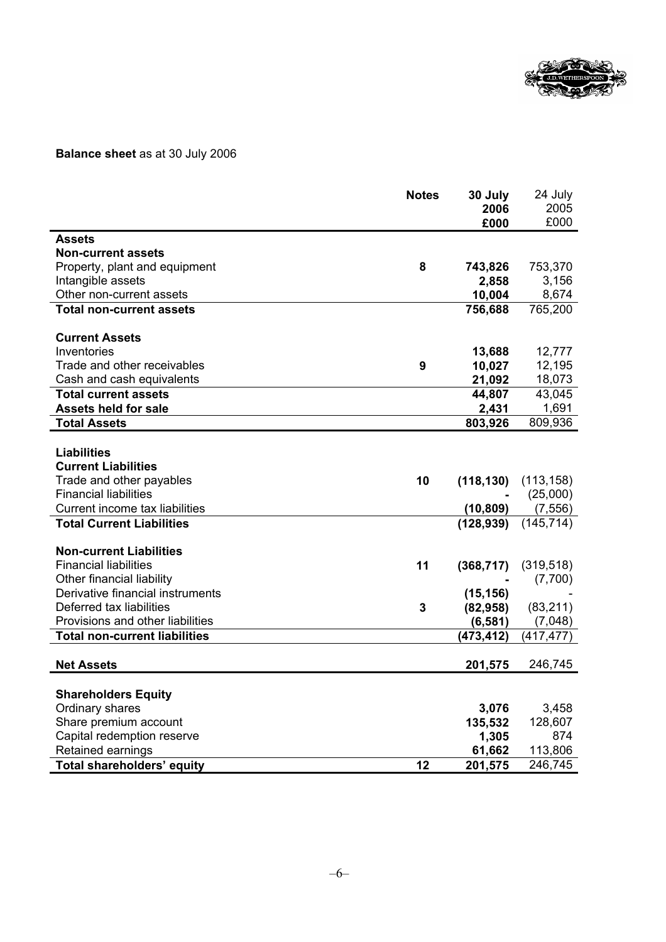

### **Balance sheet** as at 30 July 2006

|                                      | <b>Notes</b> | 30 July    | 24 July    |
|--------------------------------------|--------------|------------|------------|
|                                      |              | 2006       | 2005       |
|                                      |              | £000       | £000       |
| <b>Assets</b>                        |              |            |            |
| <b>Non-current assets</b>            |              |            |            |
| Property, plant and equipment        | 8            | 743,826    | 753,370    |
| Intangible assets                    |              | 2,858      | 3,156      |
| Other non-current assets             |              | 10,004     | 8,674      |
| <b>Total non-current assets</b>      |              | 756,688    | 765,200    |
|                                      |              |            |            |
| <b>Current Assets</b>                |              |            |            |
| Inventories                          |              | 13,688     | 12,777     |
| Trade and other receivables          | 9            | 10,027     | 12,195     |
| Cash and cash equivalents            |              | 21,092     | 18,073     |
| <b>Total current assets</b>          |              | 44,807     | 43,045     |
| <b>Assets held for sale</b>          |              | 2,431      | 1,691      |
| <b>Total Assets</b>                  |              | 803,926    | 809,936    |
|                                      |              |            |            |
| <b>Liabilities</b>                   |              |            |            |
| <b>Current Liabilities</b>           |              |            |            |
| Trade and other payables             | 10           | (118, 130) | (113, 158) |
| <b>Financial liabilities</b>         |              |            | (25,000)   |
| Current income tax liabilities       |              | (10, 809)  | (7, 556)   |
| <b>Total Current Liabilities</b>     |              | (128, 939) | (145, 714) |
|                                      |              |            |            |
| <b>Non-current Liabilities</b>       |              |            |            |
| <b>Financial liabilities</b>         | 11           | (368, 717) | (319, 518) |
| Other financial liability            |              |            | (7,700)    |
| Derivative financial instruments     |              | (15, 156)  |            |
| Deferred tax liabilities             | 3            | (82, 958)  | (83, 211)  |
| Provisions and other liabilities     |              | (6, 581)   | (7,048)    |
| <b>Total non-current liabilities</b> |              | (473, 412) | (417, 477) |
|                                      |              |            |            |
| <b>Net Assets</b>                    |              | 201,575    | 246,745    |
|                                      |              |            |            |
| <b>Shareholders Equity</b>           |              |            |            |
| Ordinary shares                      |              | 3,076      | 3,458      |
| Share premium account                |              | 135,532    | 128,607    |
| Capital redemption reserve           |              | 1,305      | 874        |
| Retained earnings                    |              | 61,662     | 113,806    |
| <b>Total shareholders' equity</b>    | 12           | 201,575    | 246,745    |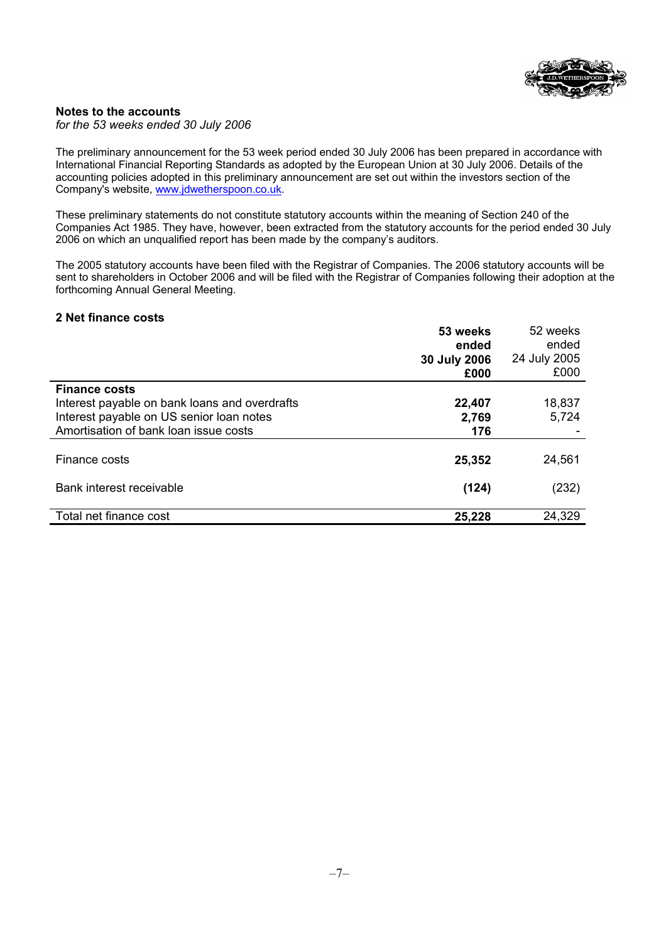

### **Notes to the accounts**

*for the 53 weeks ended 30 July 2006* 

The preliminary announcement for the 53 week period ended 30 July 2006 has been prepared in accordance with International Financial Reporting Standards as adopted by the European Union at 30 July 2006. Details of the accounting policies adopted in this preliminary announcement are set out within the investors section of the Company's website, www.jdwetherspoon.co.uk.

These preliminary statements do not constitute statutory accounts within the meaning of Section 240 of the Companies Act 1985. They have, however, been extracted from the statutory accounts for the period ended 30 July 2006 on which an unqualified report has been made by the company's auditors.

The 2005 statutory accounts have been filed with the Registrar of Companies. The 2006 statutory accounts will be sent to shareholders in October 2006 and will be filed with the Registrar of Companies following their adoption at the forthcoming Annual General Meeting.

### **2 Net finance costs**

|                                               | 53 weeks<br>ended<br>30 July 2006<br>£000 | 52 weeks<br>ended<br>24 July 2005<br>£000 |
|-----------------------------------------------|-------------------------------------------|-------------------------------------------|
| <b>Finance costs</b>                          |                                           |                                           |
| Interest payable on bank loans and overdrafts | 22,407                                    | 18,837                                    |
| Interest payable on US senior loan notes      | 2,769                                     | 5,724                                     |
| Amortisation of bank loan issue costs         | 176                                       |                                           |
| Finance costs                                 | 25,352                                    | 24,561                                    |
| Bank interest receivable                      | (124)                                     | (232)                                     |
| Total net finance cost                        | 25,228                                    | 24,329                                    |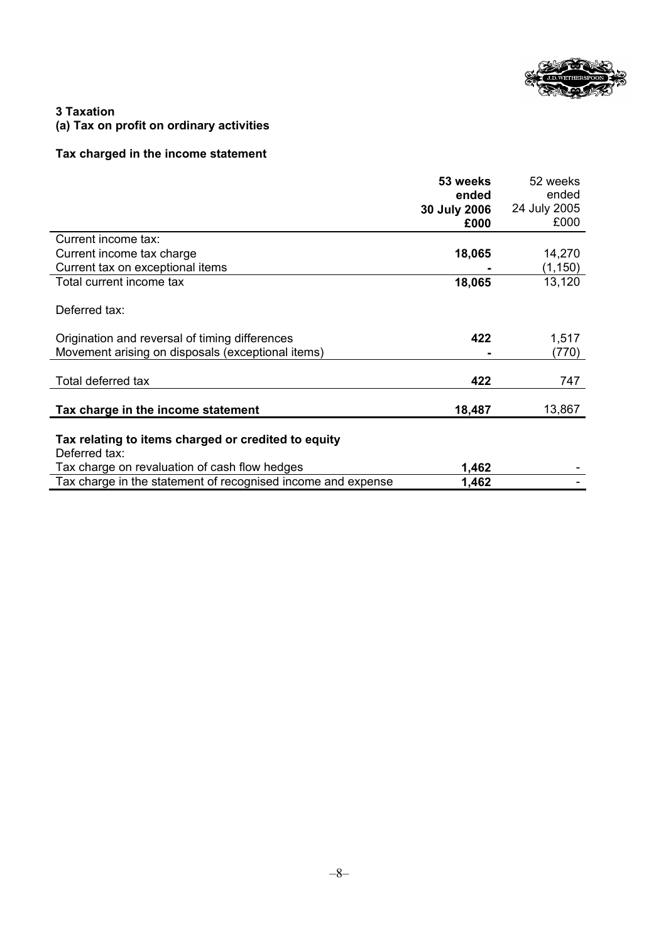

### **3 Taxation (a) Tax on profit on ordinary activities**

### **Tax charged in the income statement**

|                                                              | 53 weeks     | 52 weeks     |
|--------------------------------------------------------------|--------------|--------------|
|                                                              | ended        | ended        |
|                                                              | 30 July 2006 | 24 July 2005 |
|                                                              | £000         | £000         |
| Current income tax:                                          |              |              |
| Current income tax charge                                    | 18,065       | 14,270       |
| Current tax on exceptional items                             |              | (1, 150)     |
| Total current income tax                                     | 18,065       | 13,120       |
|                                                              |              |              |
| Deferred tax:                                                |              |              |
|                                                              |              |              |
| Origination and reversal of timing differences               | 422          | 1,517        |
| Movement arising on disposals (exceptional items)            |              | (770)        |
|                                                              |              |              |
| Total deferred tax                                           | 422          | 747          |
|                                                              |              |              |
| Tax charge in the income statement                           | 18,487       | 13,867       |
|                                                              |              |              |
| Tax relating to items charged or credited to equity          |              |              |
| Deferred tax:                                                |              |              |
| Tax charge on revaluation of cash flow hedges                | 1,462        |              |
| Tax charge in the statement of recognised income and expense | 1,462        |              |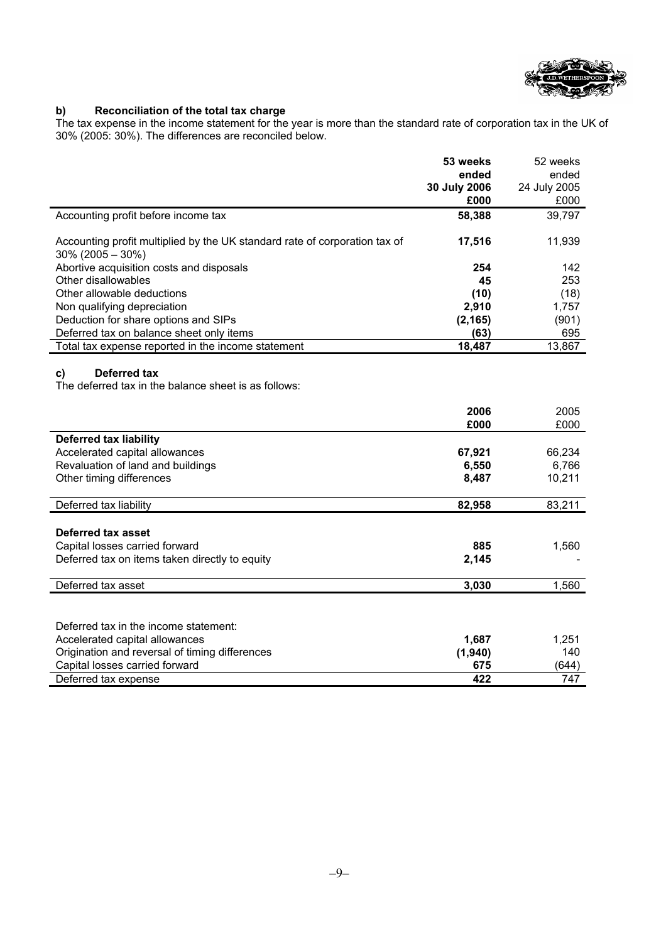

### **b) Reconciliation of the total tax charge**

The tax expense in the income statement for the year is more than the standard rate of corporation tax in the UK of 30% (2005: 30%). The differences are reconciled below.

|                                                                                                   | 53 weeks       | 52 weeks        |
|---------------------------------------------------------------------------------------------------|----------------|-----------------|
|                                                                                                   | ended          | ended           |
|                                                                                                   | 30 July 2006   | 24 July 2005    |
|                                                                                                   | £000           | £000            |
| Accounting profit before income tax                                                               | 58,388         | 39,797          |
| Accounting profit multiplied by the UK standard rate of corporation tax of<br>$30\%$ (2005 - 30%) | 17,516         | 11,939          |
| Abortive acquisition costs and disposals                                                          | 254            | 142             |
| Other disallowables                                                                               | 45             | 253             |
| Other allowable deductions                                                                        | (10)           | (18)            |
| Non qualifying depreciation                                                                       | 2,910          | 1,757           |
| Deduction for share options and SIPs                                                              | (2, 165)       | (901)           |
| Deferred tax on balance sheet only items                                                          | (63)           | 695             |
| Total tax expense reported in the income statement                                                | 18,487         | 13,867          |
| Deferred tax<br>c)                                                                                |                |                 |
| The deferred tax in the balance sheet is as follows:                                              | 2006           | 2005            |
|                                                                                                   | £000           | £000            |
| <b>Deferred tax liability</b>                                                                     |                |                 |
| Accelerated capital allowances                                                                    | 67,921         | 66,234          |
| Revaluation of land and buildings<br>Other timing differences                                     | 6,550<br>8,487 | 6,766<br>10,211 |
| Deferred tax liability                                                                            | 82,958         | 83,211          |
| Deferred tax asset                                                                                |                |                 |
|                                                                                                   | 885            | 1,560           |
| Capital losses carried forward<br>Deferred tax on items taken directly to equity                  | 2,145          |                 |

| Deferred tax in the income statement:          |         |       |
|------------------------------------------------|---------|-------|
| Accelerated capital allowances                 | 1.687   | 1,251 |
| Origination and reversal of timing differences | (1,940) | 140   |
| Capital losses carried forward                 | 675     | (644) |
| Deferred tax expense                           | 422     | 747   |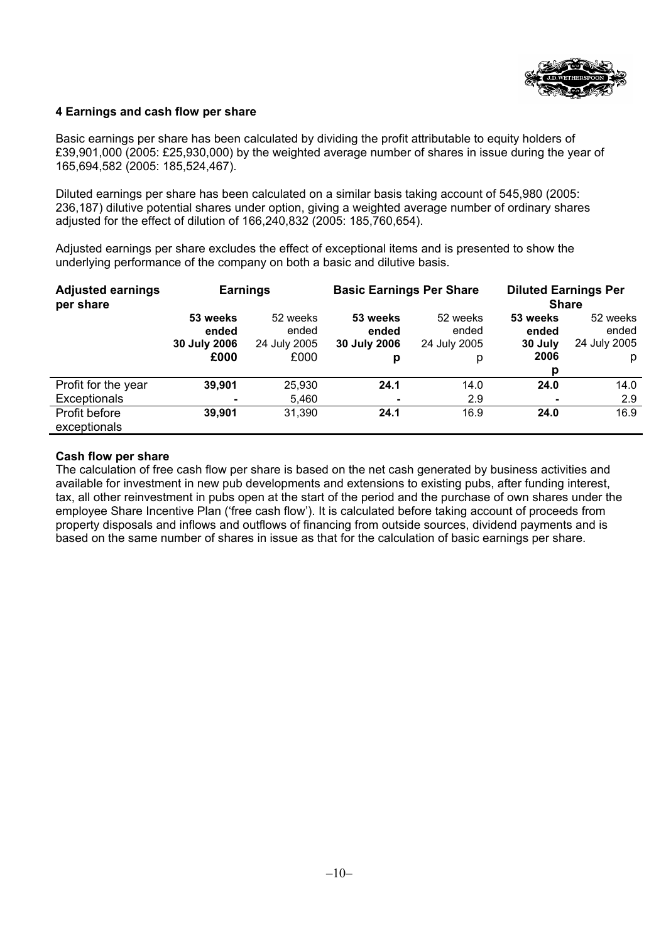

### **4 Earnings and cash flow per share**

Basic earnings per share has been calculated by dividing the profit attributable to equity holders of £39,901,000 (2005: £25,930,000) by the weighted average number of shares in issue during the year of 165,694,582 (2005: 185,524,467).

Diluted earnings per share has been calculated on a similar basis taking account of 545,980 (2005: 236,187) dilutive potential shares under option, giving a weighted average number of ordinary shares adjusted for the effect of dilution of 166,240,832 (2005: 185,760,654).

Adjusted earnings per share excludes the effect of exceptional items and is presented to show the underlying performance of the company on both a basic and dilutive basis.

| <b>Adjusted earnings</b><br>per share | <b>Earnings</b>                           |                                           | <b>Basic Earnings Per Share</b>        |                                        | <b>Diluted Earnings Per</b><br><b>Share</b> |                                        |
|---------------------------------------|-------------------------------------------|-------------------------------------------|----------------------------------------|----------------------------------------|---------------------------------------------|----------------------------------------|
|                                       | 53 weeks<br>ended<br>30 July 2006<br>£000 | 52 weeks<br>ended<br>24 July 2005<br>£000 | 53 weeks<br>ended<br>30 July 2006<br>p | 52 weeks<br>ended<br>24 July 2005<br>р | 53 weeks<br>ended<br>30 July<br>2006<br>р   | 52 weeks<br>ended<br>24 July 2005<br>p |
| Profit for the year<br>Exceptionals   | 39,901<br>$\blacksquare$                  | 25,930<br>5,460                           | 24.1                                   | 14.0<br>2.9                            | 24.0                                        | 14.0<br>2.9                            |
| Profit before<br>exceptionals         | 39,901                                    | 31,390                                    | 24.1                                   | 16.9                                   | 24.0                                        | 16.9                                   |

### **Cash flow per share**

The calculation of free cash flow per share is based on the net cash generated by business activities and available for investment in new pub developments and extensions to existing pubs, after funding interest, tax, all other reinvestment in pubs open at the start of the period and the purchase of own shares under the employee Share Incentive Plan ('free cash flow'). It is calculated before taking account of proceeds from property disposals and inflows and outflows of financing from outside sources, dividend payments and is based on the same number of shares in issue as that for the calculation of basic earnings per share.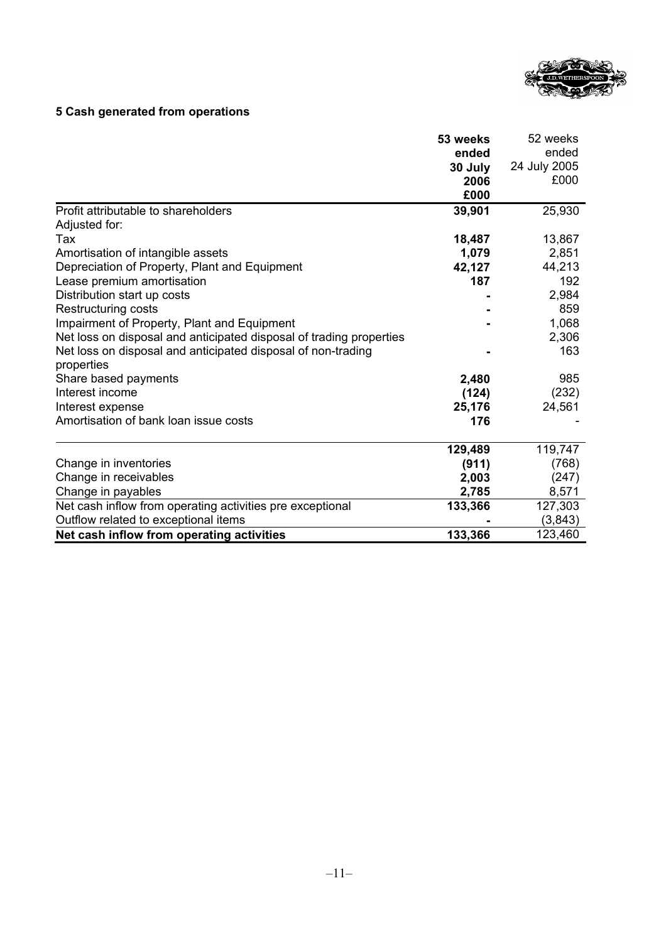

### **5 Cash generated from operations**

|                                                                     | 53 weeks | 52 weeks     |
|---------------------------------------------------------------------|----------|--------------|
|                                                                     | ended    | ended        |
|                                                                     | 30 July  | 24 July 2005 |
|                                                                     | 2006     | £000         |
|                                                                     | £000     |              |
| Profit attributable to shareholders                                 | 39,901   | 25,930       |
| Adjusted for:                                                       |          |              |
| Tax                                                                 | 18,487   | 13,867       |
| Amortisation of intangible assets                                   | 1,079    | 2,851        |
| Depreciation of Property, Plant and Equipment                       | 42,127   | 44,213       |
| Lease premium amortisation                                          | 187      | 192          |
| Distribution start up costs                                         |          | 2,984        |
| Restructuring costs                                                 |          | 859          |
| Impairment of Property, Plant and Equipment                         |          | 1,068        |
| Net loss on disposal and anticipated disposal of trading properties |          | 2,306        |
| Net loss on disposal and anticipated disposal of non-trading        |          | 163          |
| properties                                                          |          |              |
| Share based payments                                                | 2,480    | 985          |
| Interest income                                                     | (124)    | (232)        |
| Interest expense                                                    | 25,176   | 24,561       |
| Amortisation of bank loan issue costs                               | 176      |              |
|                                                                     | 129,489  | 119,747      |
| Change in inventories                                               | (911)    | (768)        |
| Change in receivables                                               | 2,003    | (247)        |
| Change in payables                                                  | 2,785    | 8,571        |
| Net cash inflow from operating activities pre exceptional           | 133,366  | 127,303      |
| Outflow related to exceptional items                                |          | (3, 843)     |
| Net cash inflow from operating activities                           | 133,366  | 123,460      |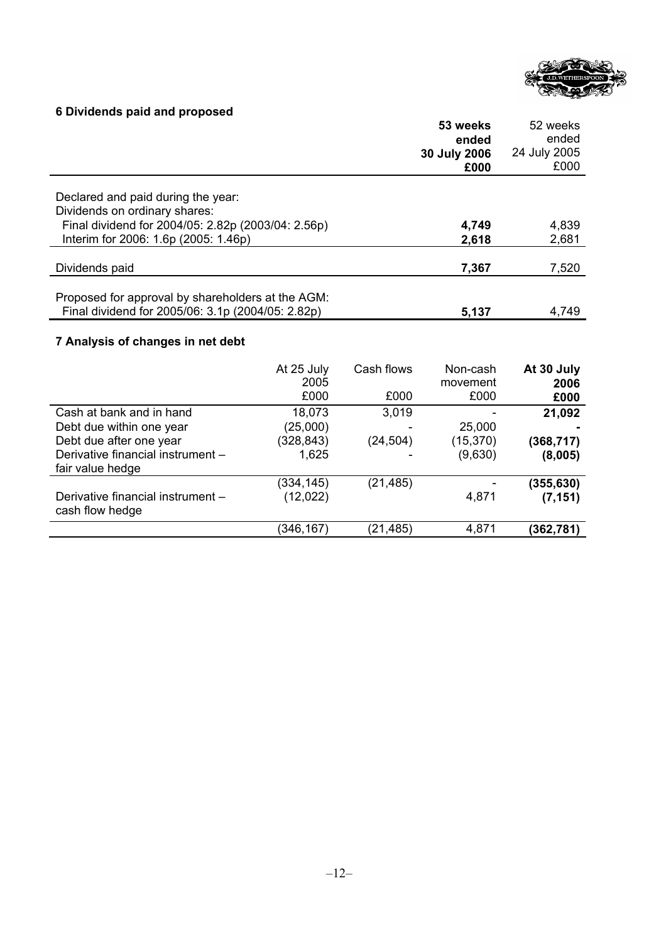

# **6 Dividends paid and proposed**

|                                                    | 53 weeks<br>ended<br>30 July 2006<br>£000 | 52 weeks<br>ended<br>24 July 2005<br>£000 |
|----------------------------------------------------|-------------------------------------------|-------------------------------------------|
| Declared and paid during the year:                 |                                           |                                           |
| Dividends on ordinary shares:                      |                                           |                                           |
| Final dividend for 2004/05: 2.82p (2003/04: 2.56p) | 4,749                                     | 4,839                                     |
| Interim for 2006: 1.6p (2005: 1.46p)               | 2,618                                     | 2,681                                     |
| Dividends paid                                     | 7,367                                     | 7,520                                     |
|                                                    |                                           |                                           |
| Proposed for approval by shareholders at the AGM:  |                                           |                                           |
| Final dividend for 2005/06: 3.1p (2004/05: 2.82p)  | 5,137                                     | 4,749                                     |

## **7 Analysis of changes in net debt**

|                                                       | At 25 July<br>2005<br>£000 | Cash flows<br>£000 | Non-cash<br>movement<br>£000 | At 30 July<br>2006<br>£000 |
|-------------------------------------------------------|----------------------------|--------------------|------------------------------|----------------------------|
| Cash at bank and in hand                              | 18,073                     | 3,019              |                              | 21,092                     |
| Debt due within one year                              | (25,000)                   |                    | 25,000                       |                            |
| Debt due after one year                               | (328, 843)                 | (24,504)           | (15, 370)                    | (368,717)                  |
| Derivative financial instrument -<br>fair value hedge | 1,625                      |                    | (9,630)                      | (8,005)                    |
|                                                       | (334, 145)                 | (21, 485)          |                              | (355, 630)                 |
| Derivative financial instrument -<br>cash flow hedge  | (12, 022)                  |                    | 4,871                        | (7, 151)                   |
|                                                       | (346,167)                  | (21, 485)          | 4,871                        | (362,781)                  |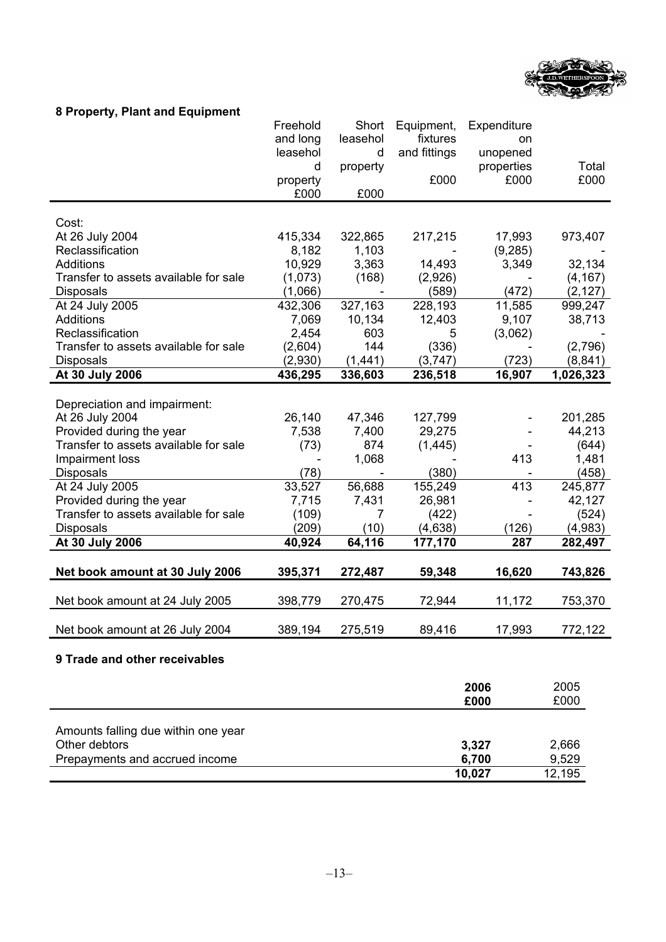

### **8 Property, Plant and Equipment**

|                                       | Freehold         | Short                    | Equipment,        | Expenditure     |                   |
|---------------------------------------|------------------|--------------------------|-------------------|-----------------|-------------------|
|                                       | and long         | leasehol                 | fixtures          | on              |                   |
|                                       | leasehol         | d                        | and fittings      | unopened        |                   |
|                                       | d                | property                 |                   | properties      | Total             |
|                                       | property         |                          | £000              | £000            | £000              |
|                                       | £000             | £000                     |                   |                 |                   |
|                                       |                  |                          |                   |                 |                   |
| Cost:                                 |                  |                          |                   |                 |                   |
| At 26 July 2004                       | 415,334          | 322,865                  | 217,215           | 17,993          | 973,407           |
| Reclassification                      | 8,182            | 1,103                    |                   | (9, 285)        |                   |
| <b>Additions</b>                      | 10,929           | 3,363                    | 14,493            | 3,349           | 32,134            |
| Transfer to assets available for sale | (1,073)          | (168)                    | (2,926)           |                 | (4, 167)          |
| <b>Disposals</b>                      | (1,066)          | $\overline{\phantom{a}}$ | (589)             | (472)           | (2, 127)          |
| At 24 July 2005<br>Additions          | 432,306<br>7,069 | 327,163<br>10,134        | 228,193<br>12,403 | 11,585<br>9,107 | 999,247<br>38,713 |
| Reclassification                      | 2,454            | 603                      | 5                 | (3,062)         |                   |
| Transfer to assets available for sale | (2,604)          | 144                      | (336)             |                 | (2,796)           |
| <b>Disposals</b>                      | (2,930)          | (1,441)                  |                   | (723)           | (8, 841)          |
|                                       |                  |                          | (3,747)           |                 |                   |
| At 30 July 2006                       | 436,295          | 336,603                  | 236,518           | 16,907          | 1,026,323         |
| Depreciation and impairment:          |                  |                          |                   |                 |                   |
| At 26 July 2004                       | 26,140           | 47,346                   | 127,799           |                 | 201,285           |
| Provided during the year              | 7,538            | 7,400                    | 29,275            |                 | 44,213            |
| Transfer to assets available for sale | (73)             | 874                      | (1, 445)          |                 | (644)             |
| Impairment loss                       |                  | 1,068                    |                   | 413             | 1,481             |
| Disposals                             | (78)             |                          | (380)             |                 | (458)             |
| At 24 July 2005                       | 33,527           | 56,688                   | 155,249           | 413             | 245,877           |
| Provided during the year              | 7,715            | 7,431                    | 26,981            | ÷,              | 42,127            |
| Transfer to assets available for sale | (109)            | 7                        | (422)             |                 | (524)             |
| Disposals                             | (209)            | (10)                     | (4,638)           | (126)           | (4,983)           |
| At 30 July 2006                       | 40,924           | 64,116                   | 177,170           | 287             | 282,497           |
|                                       |                  |                          |                   |                 |                   |
| Net book amount at 30 July 2006       | 395,371          | 272,487                  | 59,348            | 16,620          | 743,826           |
|                                       |                  |                          |                   |                 |                   |
| Net book amount at 24 July 2005       | 398,779          | 270,475                  | 72,944            | 11,172          | 753,370           |
|                                       |                  |                          |                   |                 |                   |
| Net book amount at 26 July 2004       | 389,194          | 275,519                  | 89,416            | 17,993          | 772,122           |
| 9 Trade and other receivables         |                  |                          |                   |                 |                   |
|                                       |                  |                          |                   |                 |                   |
|                                       |                  |                          |                   | 2006            | 2005              |

|                                     | £000   | £000   |
|-------------------------------------|--------|--------|
|                                     |        |        |
| Amounts falling due within one year |        |        |
| Other debtors                       | 3,327  | 2,666  |
| Prepayments and accrued income      | 6,700  | 9,529  |
|                                     | 10,027 | 12,195 |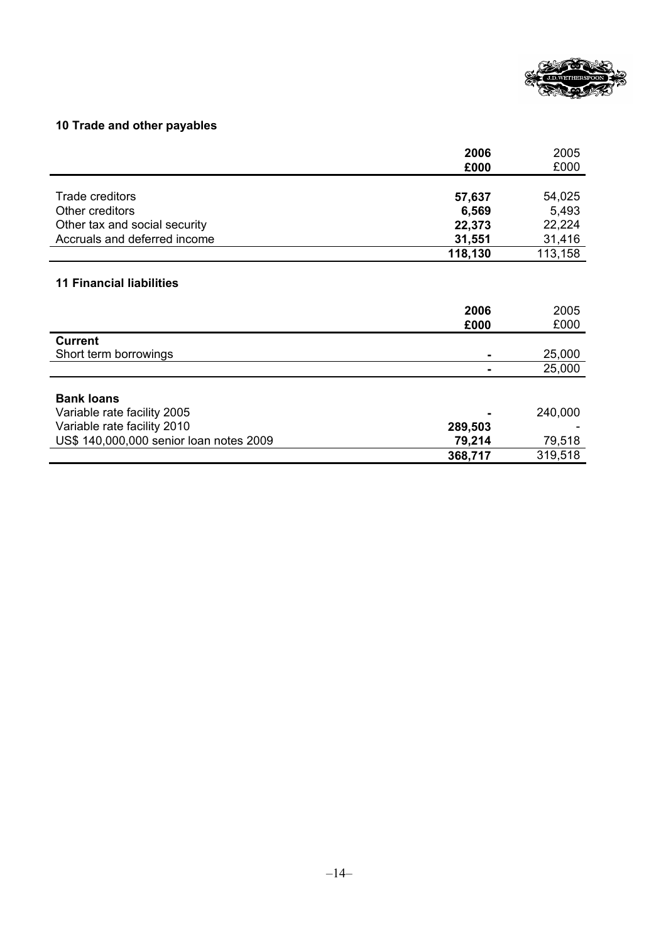

### **10 Trade and other payables**

|                                         | 2006    | 2005    |
|-----------------------------------------|---------|---------|
|                                         | £000    | £000    |
|                                         |         |         |
| Trade creditors                         | 57,637  | 54,025  |
| Other creditors                         | 6,569   | 5,493   |
| Other tax and social security           | 22,373  | 22,224  |
| Accruals and deferred income            | 31,551  | 31,416  |
|                                         | 118,130 | 113,158 |
|                                         |         |         |
| <b>11 Financial liabilities</b>         |         |         |
|                                         |         |         |
|                                         | 2006    | 2005    |
|                                         | £000    | £000    |
| <b>Current</b>                          |         |         |
| Short term borrowings                   |         | 25,000  |
|                                         |         | 25,000  |
|                                         |         |         |
|                                         |         |         |
| <b>Bank loans</b>                       |         |         |
| Variable rate facility 2005             |         | 240,000 |
| Variable rate facility 2010             | 289,503 |         |
| US\$ 140,000,000 senior loan notes 2009 | 79,214  | 79,518  |
|                                         | 368,717 | 319,518 |